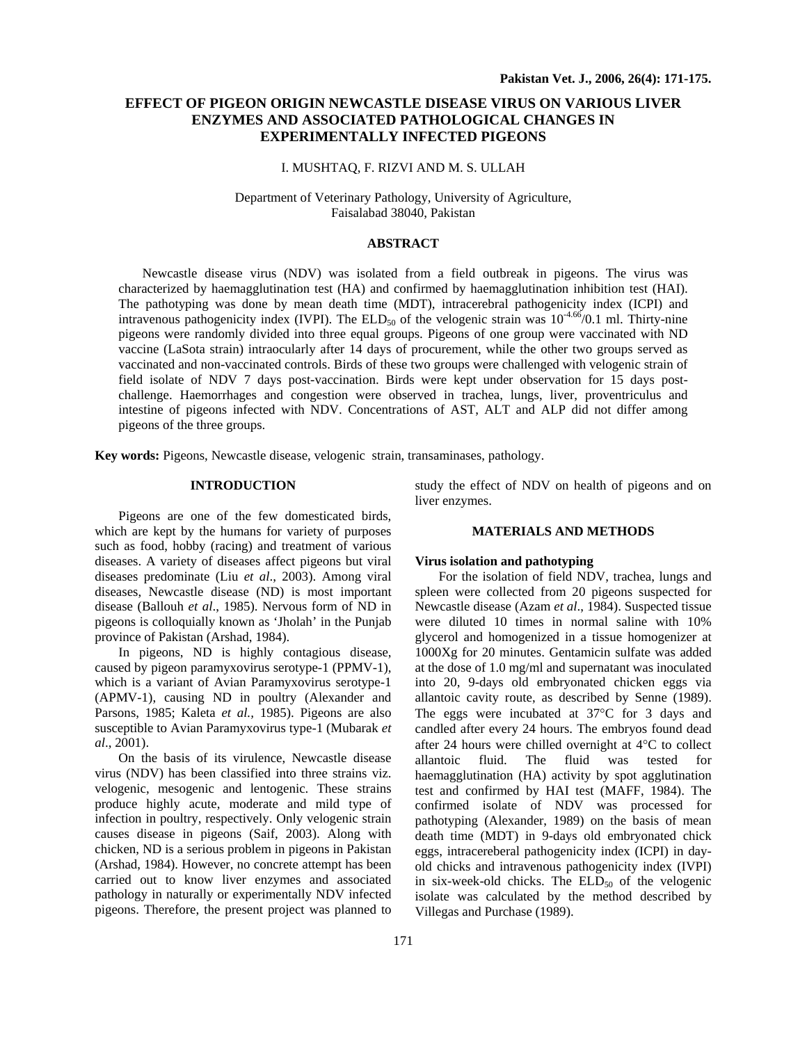# **EFFECT OF PIGEON ORIGIN NEWCASTLE DISEASE VIRUS ON VARIOUS LIVER ENZYMES AND ASSOCIATED PATHOLOGICAL CHANGES IN EXPERIMENTALLY INFECTED PIGEONS**

## I. MUSHTAQ, F. RIZVI AND M. S. ULLAH

Department of Veterinary Pathology, University of Agriculture, Faisalabad 38040, Pakistan

#### **ABSTRACT**

Newcastle disease virus (NDV) was isolated from a field outbreak in pigeons. The virus was characterized by haemagglutination test (HA) and confirmed by haemagglutination inhibition test (HAI). The pathotyping was done by mean death time (MDT), intracerebral pathogenicity index (ICPI) and intravenous pathogenicity index (IVPI). The ELD<sub>50</sub> of the velogenic strain was  $10^{-4.66}$ /0.1 ml. Thirty-nine pigeons were randomly divided into three equal groups. Pigeons of one group were vaccinated with ND vaccine (LaSota strain) intraocularly after 14 days of procurement, while the other two groups served as vaccinated and non-vaccinated controls. Birds of these two groups were challenged with velogenic strain of field isolate of NDV 7 days post-vaccination. Birds were kept under observation for 15 days postchallenge. Haemorrhages and congestion were observed in trachea, lungs, liver, proventriculus and intestine of pigeons infected with NDV. Concentrations of AST, ALT and ALP did not differ among pigeons of the three groups.

**Key words:** Pigeons, Newcastle disease, velogenic strain, transaminases, pathology.

## **INTRODUCTION**

Pigeons are one of the few domesticated birds, which are kept by the humans for variety of purposes such as food, hobby (racing) and treatment of various diseases. A variety of diseases affect pigeons but viral diseases predominate (Liu *et al*., 2003). Among viral diseases, Newcastle disease (ND) is most important disease (Ballouh *et al*., 1985). Nervous form of ND in pigeons is colloquially known as 'Jholah' in the Punjab province of Pakistan (Arshad, 1984).

In pigeons, ND is highly contagious disease, caused by pigeon paramyxovirus serotype-1 (PPMV-1), which is a variant of Avian Paramyxovirus serotype-1 (APMV-1), causing ND in poultry (Alexander and Parsons, 1985; Kaleta *et al.,* 1985). Pigeons are also susceptible to Avian Paramyxovirus type-1 (Mubarak *et al*., 2001).

On the basis of its virulence, Newcastle disease virus (NDV) has been classified into three strains viz. velogenic, mesogenic and lentogenic. These strains produce highly acute, moderate and mild type of infection in poultry, respectively. Only velogenic strain causes disease in pigeons (Saif, 2003). Along with chicken, ND is a serious problem in pigeons in Pakistan (Arshad, 1984). However, no concrete attempt has been carried out to know liver enzymes and associated pathology in naturally or experimentally NDV infected pigeons. Therefore, the present project was planned to

study the effect of NDV on health of pigeons and on liver enzymes.

#### **MATERIALS AND METHODS**

### **Virus isolation and pathotyping**

For the isolation of field NDV, trachea, lungs and spleen were collected from 20 pigeons suspected for Newcastle disease (Azam *et al*., 1984). Suspected tissue were diluted 10 times in normal saline with 10% glycerol and homogenized in a tissue homogenizer at 1000Xg for 20 minutes. Gentamicin sulfate was added at the dose of 1.0 mg/ml and supernatant was inoculated into 20, 9-days old embryonated chicken eggs via allantoic cavity route, as described by Senne (1989). The eggs were incubated at 37°C for 3 days and candled after every 24 hours. The embryos found dead after 24 hours were chilled overnight at 4°C to collect allantoic fluid. The fluid was tested for haemagglutination (HA) activity by spot agglutination test and confirmed by HAI test (MAFF, 1984). The confirmed isolate of NDV was processed for pathotyping (Alexander, 1989) on the basis of mean death time (MDT) in 9-days old embryonated chick eggs, intracereberal pathogenicity index (ICPI) in dayold chicks and intravenous pathogenicity index (IVPI) in six-week-old chicks. The  $ELD<sub>50</sub>$  of the velogenic isolate was calculated by the method described by Villegas and Purchase (1989).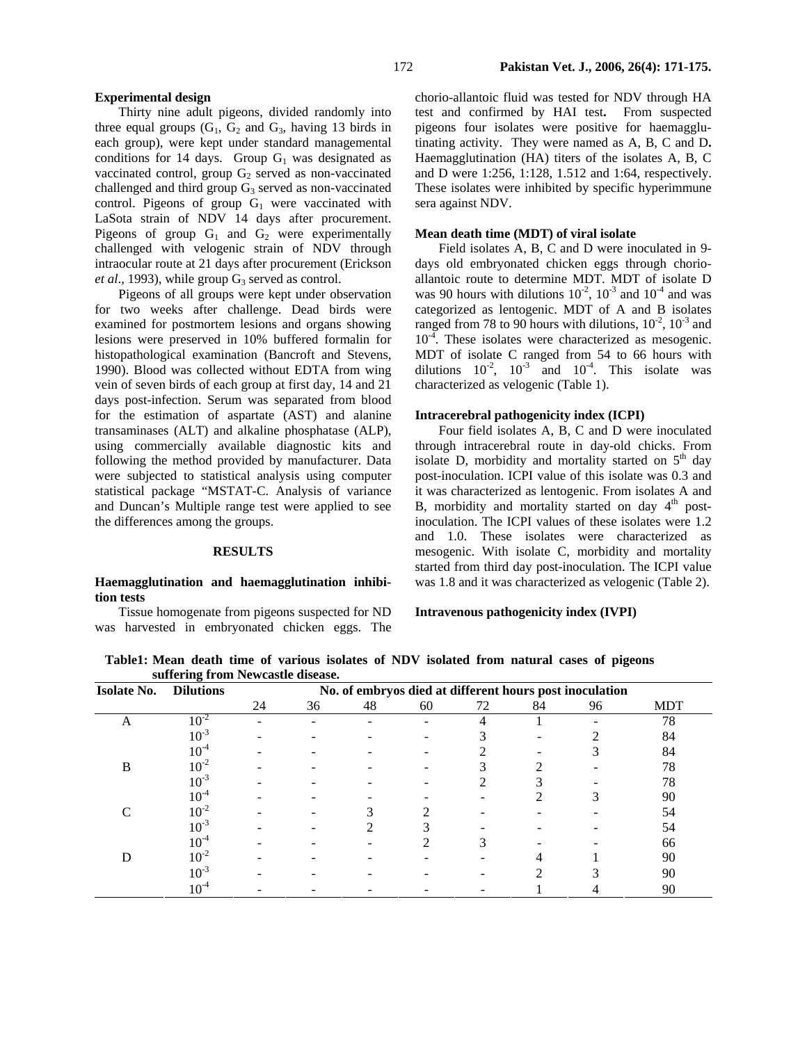### **Experimental design**

Thirty nine adult pigeons, divided randomly into three equal groups  $(G_1, G_2, G_3)$  having 13 birds in each group), were kept under standard managemental conditions for 14 days. Group  $G_1$  was designated as vaccinated control, group  $G_2$  served as non-vaccinated challenged and third group  $G_3$  served as non-vaccinated control. Pigeons of group  $G_1$  were vaccinated with LaSota strain of NDV 14 days after procurement. Pigeons of group  $G_1$  and  $G_2$  were experimentally challenged with velogenic strain of NDV through intraocular route at 21 days after procurement (Erickson *et al.*, 1993), while group  $G_3$  served as control.

Pigeons of all groups were kept under observation for two weeks after challenge. Dead birds were examined for postmortem lesions and organs showing lesions were preserved in 10% buffered formalin for histopathological examination (Bancroft and Stevens, 1990). Blood was collected without EDTA from wing vein of seven birds of each group at first day, 14 and 21 days post-infection. Serum was separated from blood for the estimation of aspartate (AST) and alanine transaminases (ALT) and alkaline phosphatase (ALP), using commercially available diagnostic kits and following the method provided by manufacturer. Data were subjected to statistical analysis using computer statistical package "MSTAT-C. Analysis of variance and Duncan's Multiple range test were applied to see the differences among the groups.

#### **RESULTS**

### **Haemagglutination and haemagglutination inhibition tests**

Tissue homogenate from pigeons suspected for ND was harvested in embryonated chicken eggs. The chorio-allantoic fluid was tested for NDV through HA test and confirmed by HAI test**.** From suspected pigeons four isolates were positive for haemagglutinating activity.They were named as A, B, C and D**.**  Haemagglutination (HA) titers of the isolates A, B, C and D were 1:256, 1:128, 1.512 and 1:64, respectively. These isolates were inhibited by specific hyperimmune sera against NDV.

### **Mean death time (MDT) of viral isolate**

Field isolates A, B, C and D were inoculated in 9 days old embryonated chicken eggs through chorioallantoic route to determine MDT. MDT of isolate D was 90 hours with dilutions  $10^{-2}$ ,  $10^{-3}$  and  $10^{-4}$  and was categorized as lentogenic. MDT of A and B isolates ranged from 78 to 90 hours with dilutions,  $10^{-2}$ ,  $10^{-3}$  and  $10^{-4}$ . These isolates were characterized as mesogenic. MDT of isolate C ranged from 54 to 66 hours with dilutions  $10^{-2}$ ,  $10^{-3}$  and  $10^{-4}$ . This isolate was characterized as velogenic (Table 1).

#### **Intracerebral pathogenicity index (ICPI)**

Four field isolates A, B, C and D were inoculated through intracerebral route in day-old chicks. From isolate D, morbidity and mortality started on  $5<sup>th</sup>$  day post-inoculation. ICPI value of this isolate was 0.3 and it was characterized as lentogenic. From isolates A and B, morbidity and mortality started on day  $4<sup>th</sup>$  postinoculation. The ICPI values of these isolates were 1.2 and 1.0. These isolates were characterized as mesogenic. With isolate C, morbidity and mortality started from third day post-inoculation. The ICPI value was 1.8 and it was characterized as velogenic (Table 2).

### **Intravenous pathogenicity index (IVPI)**

**Table1: Mean death time of various isolates of NDV isolated from natural cases of pigeons suffering from Newcastle disease.** 

| <b>Isolate No.</b> | <b>Dilutions</b> |    | No. of embryos died at different hours post inoculation |    |    |    |    |    |            |
|--------------------|------------------|----|---------------------------------------------------------|----|----|----|----|----|------------|
|                    |                  | 24 | 36                                                      | 48 | 60 | 72 | 84 | 96 | <b>MDT</b> |
| A                  | $10^{-2}$        |    |                                                         |    |    |    |    |    | 78         |
|                    | $10^{-3}$        |    |                                                         |    |    |    |    |    | 84         |
|                    | $10^{\text{-}4}$ |    |                                                         |    |    |    |    |    | 84         |
| B                  | $10^{-2}$        |    |                                                         |    |    |    |    |    | 78         |
|                    | $10^{-3}$        |    |                                                         |    |    |    |    |    | 78         |
|                    | $10^{ - 4}$      |    |                                                         |    |    |    |    |    | 90         |
|                    | $10^{-2}$        |    |                                                         |    |    |    |    |    | 54         |
|                    | $10^{-3}$        |    |                                                         |    | ⌒  |    |    |    | 54         |
|                    | $10^{-4}$        |    |                                                         |    |    |    |    |    | 66         |
|                    | $10^{-2}$        |    |                                                         |    |    |    |    |    | 90         |
|                    | $10^{-3}$        |    |                                                         |    |    |    |    |    | 90         |
|                    | $10^{-4}$        |    |                                                         |    |    |    |    |    | 90         |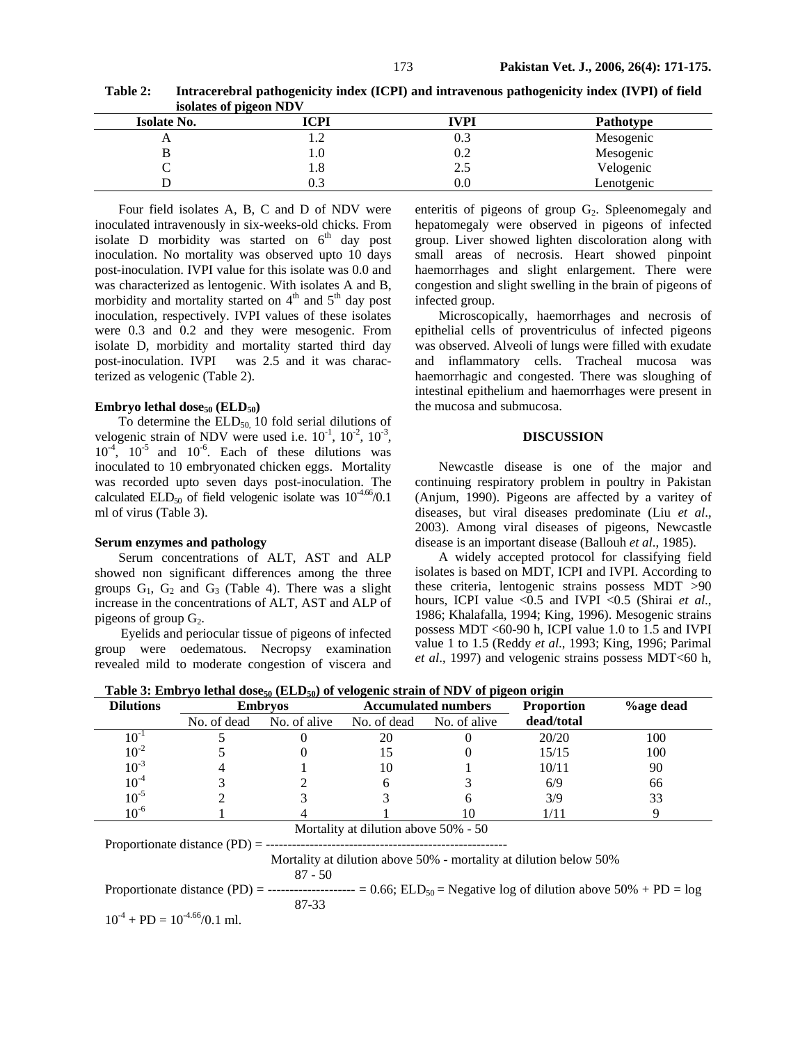**Table 2: Intracerebral pathogenicity index (ICPI) and intravenous pathogenicity index (IVPI) of field isolates of pigeon NDV** 

| . .                |      |      |            |
|--------------------|------|------|------------|
| <b>Isolate No.</b> | ICPI | IVPI | Pathotype  |
| $\overline{ }$     |      | 0.3  | Mesogenic  |
|                    | . O. | 0.2  | Mesogenic  |
| ◡                  | 1.8  | 2.5  | Velogenic  |
|                    | U.J  | 0.0  | Lenotgenic |

Four field isolates A, B, C and D of NDV were inoculated intravenously in six-weeks-old chicks. From isolate D morbidity was started on  $6<sup>th</sup>$  day post inoculation. No mortality was observed upto 10 days post-inoculation. IVPI value for this isolate was 0.0 and was characterized as lentogenic. With isolates A and B, morbidity and mortality started on  $4<sup>th</sup>$  and  $5<sup>th</sup>$  day post inoculation, respectively. IVPI values of these isolates were 0.3 and 0.2 and they were mesogenic. From isolate D, morbidity and mortality started third day post-inoculation. IVPI was 2.5 and it was characterized as velogenic (Table 2).

## **Embryo lethal dose**<sub>50</sub> (**ELD**<sub>50</sub>)

To determine the  $ELD<sub>50</sub>$  10 fold serial dilutions of velogenic strain of NDV were used i.e.  $10^{-1}$ ,  $10^{-2}$ ,  $10^{-3}$ ,  $10^{-4}$ ,  $10^{-5}$  and  $10^{-6}$ . Each of these dilutions was inoculated to 10 embryonated chicken eggs. Mortality was recorded upto seven days post-inoculation. The calculated  $ELD_{50}$  of field velogenic isolate was  $10^{-4.66}$ /0.1 ml of virus (Table 3).

### **Serum enzymes and pathology**

Serum concentrations of ALT, AST and ALP showed non significant differences among the three groups  $G_1$ ,  $G_2$  and  $G_3$  (Table 4). There was a slight increase in the concentrations of ALT, AST and ALP of pigeons of group  $G_2$ .

Eyelids and periocular tissue of pigeons of infected group were oedematous. Necropsy examination revealed mild to moderate congestion of viscera and enteritis of pigeons of group  $G_2$ . Spleenomegaly and hepatomegaly were observed in pigeons of infected group. Liver showed lighten discoloration along with small areas of necrosis. Heart showed pinpoint haemorrhages and slight enlargement. There were congestion and slight swelling in the brain of pigeons of infected group.

Microscopically, haemorrhages and necrosis of epithelial cells of proventriculus of infected pigeons was observed. Alveoli of lungs were filled with exudate and inflammatory cells. Tracheal mucosa was haemorrhagic and congested. There was sloughing of intestinal epithelium and haemorrhages were present in the mucosa and submucosa.

#### **DISCUSSION**

Newcastle disease is one of the major and continuing respiratory problem in poultry in Pakistan (Anjum, 1990). Pigeons are affected by a varitey of diseases, but viral diseases predominate (Liu *et al*., 2003). Among viral diseases of pigeons, Newcastle disease is an important disease (Ballouh *et al*., 1985).

A widely accepted protocol for classifying field isolates is based on MDT, ICPI and IVPI. According to these criteria, lentogenic strains possess MDT >90 hours, ICPI value <0.5 and IVPI <0.5 (Shirai *et al*., 1986; Khalafalla, 1994; King, 1996). Mesogenic strains possess MDT <60-90 h, ICPI value 1.0 to 1.5 and IVPI value 1 to 1.5 (Reddy *et al*., 1993; King, 1996; Parimal *et al.*, 1997) and velogenic strains possess MDT<60 h,

Table 3: Embryo lethal dose<sub>50</sub> (ELD<sub>50</sub>) of velogenic strain of NDV of pigeon origin

| <b>Dilutions</b> | <b>Embryos</b> |                          |    | <b>Accumulated numbers</b> | <b>Proportion</b> | <b>%age dead</b> |
|------------------|----------------|--------------------------|----|----------------------------|-------------------|------------------|
|                  | No. of dead    | No. of alive No. of dead |    | No. of alive               | dead/total        |                  |
|                  |                |                          | 20 |                            | 20/20             | 100              |
| $10^{-2}$        |                |                          |    |                            | 15/15             | 100              |
| $10^{-3}$        |                |                          | 10 |                            | 10/11             | 90               |
| $10^{-4}$        |                |                          |    |                            | 6/9               | 66               |
| $10^{-5}$        |                |                          |    |                            | 3/9               | 33               |
| $10^{-6}$        |                |                          |    |                            | /11               |                  |

Mortality at dilution above 50% - 50 Proportionate distance (PD) = -------------------------------------------------------

> Mortality at dilution above 50% - mortality at dilution below 50% 87 - 50

Proportionate distance (PD) = -------------------- = 0.66; ELD50 = Negative log of dilution above 50% + PD = log 87-33

 $10^{-4}$  + PD =  $10^{-4.66}/0.1$  ml.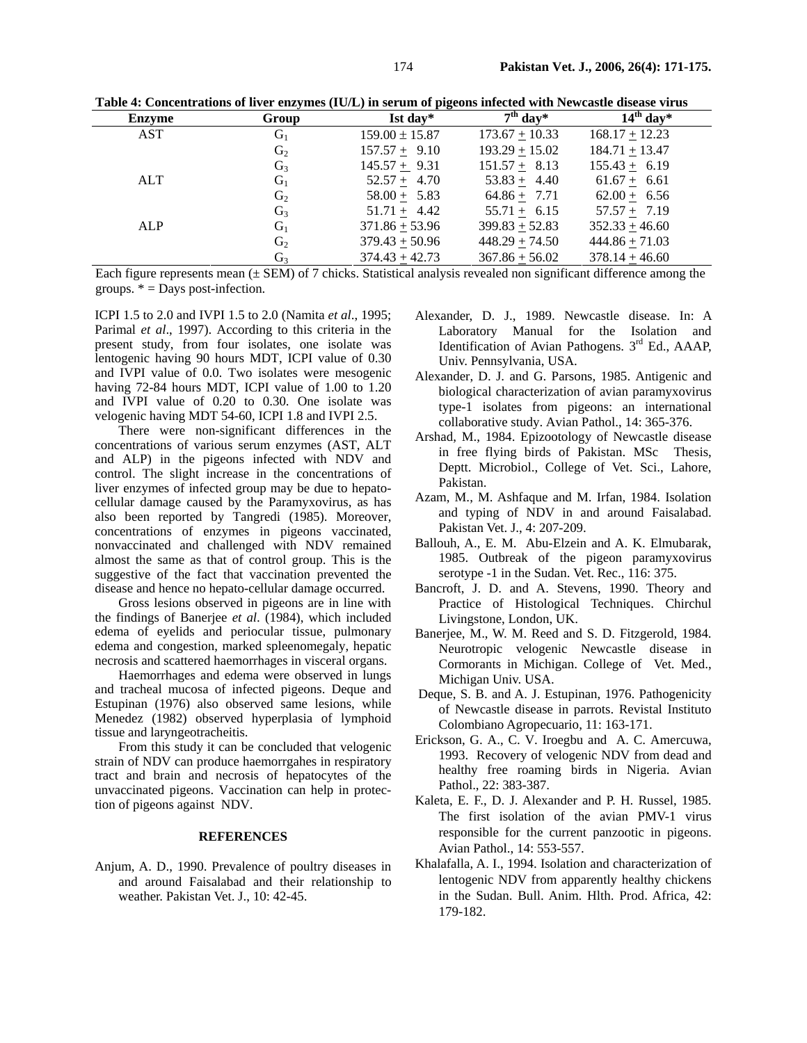| <b>Enzyme</b> | Group          | $Ist day*$         | $7th$ day*       | $14^{th}$ day*    |
|---------------|----------------|--------------------|------------------|-------------------|
| AST           | $G_1$          | $159.00 \pm 15.87$ | $173.67 + 10.33$ | $168.17 + 12.23$  |
|               | G <sub>2</sub> | $157.57 + 9.10$    | $193.29 + 15.02$ | $184.71 + 13.47$  |
|               | $G_3$          | $145.57 \pm 9.31$  | $151.57 + 8.13$  | $155.43 \pm 6.19$ |
| ALT           | $G_1$          | $52.57 + 4.70$     | $53.83 + 4.40$   | $61.67 + 6.61$    |
|               | G <sub>2</sub> | $58.00 + 5.83$     | $64.86 + 7.71$   | $62.00 + 6.56$    |
|               | $G_3$          | $51.71 \pm 4.42$   | $55.71 + 6.15$   | $57.57 + 7.19$    |
| ALP           | $G_1$          | $371.86 + 53.96$   | $399.83 + 52.83$ | $352.33 + 46.60$  |
|               | G <sub>2</sub> | $379.43 + 50.96$   | $448.29 + 74.50$ | $444.86 + 71.03$  |
|               | G <sub>3</sub> | $374.43 + 42.73$   | $367.86 + 56.02$ | $378.14 + 46.60$  |

**Table 4: Concentrations of liver enzymes (IU/L) in serum of pigeons infected with Newcastle disease virus** 

Each figure represents mean ( $\pm$  SEM) of 7 chicks. Statistical analysis revealed non significant difference among the groups.  $* =$  Days post-infection.

ICPI 1.5 to 2.0 and IVPI 1.5 to 2.0 (Namita *et al*., 1995; Parimal *et al*., 1997). According to this criteria in the present study, from four isolates, one isolate was lentogenic having 90 hours MDT, ICPI value of 0.30 and IVPI value of 0.0. Two isolates were mesogenic having 72-84 hours MDT, ICPI value of 1.00 to 1.20 and IVPI value of 0.20 to 0.30. One isolate was velogenic having MDT 54-60, ICPI 1.8 and IVPI 2.5.

There were non-significant differences in the concentrations of various serum enzymes (AST, ALT and ALP) in the pigeons infected with NDV and control. The slight increase in the concentrations of liver enzymes of infected group may be due to hepatocellular damage caused by the Paramyxovirus, as has also been reported by Tangredi (1985). Moreover, concentrations of enzymes in pigeons vaccinated, nonvaccinated and challenged with NDV remained almost the same as that of control group. This is the suggestive of the fact that vaccination prevented the disease and hence no hepato-cellular damage occurred.

Gross lesions observed in pigeons are in line with the findings of Banerjee *et al*. (1984), which included edema of eyelids and periocular tissue, pulmonary edema and congestion, marked spleenomegaly, hepatic necrosis and scattered haemorrhages in visceral organs.

Haemorrhages and edema were observed in lungs and tracheal mucosa of infected pigeons. Deque and Estupinan (1976) also observed same lesions, while Menedez (1982) observed hyperplasia of lymphoid tissue and laryngeotracheitis.

From this study it can be concluded that velogenic strain of NDV can produce haemorrgahes in respiratory tract and brain and necrosis of hepatocytes of the unvaccinated pigeons. Vaccination can help in protection of pigeons against NDV.

### **REFERENCES**

Anjum, A. D., 1990. Prevalence of poultry diseases in and around Faisalabad and their relationship to weather. Pakistan Vet. J., 10: 42-45.

- Alexander, D. J., 1989. Newcastle disease. In: A Laboratory Manual for the Isolation and Identification of Avian Pathogens. 3<sup>rd</sup> Ed., AAAP, Univ. Pennsylvania, USA.
- Alexander, D. J. and G. Parsons, 1985. Antigenic and biological characterization of avian paramyxovirus type-1 isolates from pigeons: an international collaborative study. Avian Pathol., 14: 365-376.
- Arshad, M., 1984. Epizootology of Newcastle disease in free flying birds of Pakistan. MSc Thesis, Deptt. Microbiol., College of Vet. Sci., Lahore, Pakistan.
- Azam, M., M. Ashfaque and M. Irfan, 1984. Isolation and typing of NDV in and around Faisalabad. Pakistan Vet. J., 4: 207-209.
- Ballouh, A., E. M. Abu-Elzein and A. K. Elmubarak, 1985. Outbreak of the pigeon paramyxovirus serotype -1 in the Sudan. Vet. Rec., 116: 375.
- Bancroft, J. D. and A. Stevens, 1990. Theory and Practice of Histological Techniques. Chirchul Livingstone, London, UK.
- Banerjee, M., W. M. Reed and S. D. Fitzgerold, 1984. Neurotropic velogenic Newcastle disease in Cormorants in Michigan. College of Vet. Med., Michigan Univ. USA.
- Deque, S. B. and A. J. Estupinan, 1976. Pathogenicity of Newcastle disease in parrots. Revistal Instituto Colombiano Agropecuario, 11: 163-171.
- Erickson, G. A., C. V. Iroegbu and A. C. Amercuwa, 1993. Recovery of velogenic NDV from dead and healthy free roaming birds in Nigeria. Avian Pathol., 22: 383-387.
- Kaleta, E. F., D. J. Alexander and P. H. Russel, 1985. The first isolation of the avian PMV-1 virus responsible for the current panzootic in pigeons. Avian Pathol., 14: 553-557.
- Khalafalla, A. I., 1994. Isolation and characterization of lentogenic NDV from apparently healthy chickens in the Sudan. Bull. Anim. Hlth. Prod. Africa, 42: 179-182.